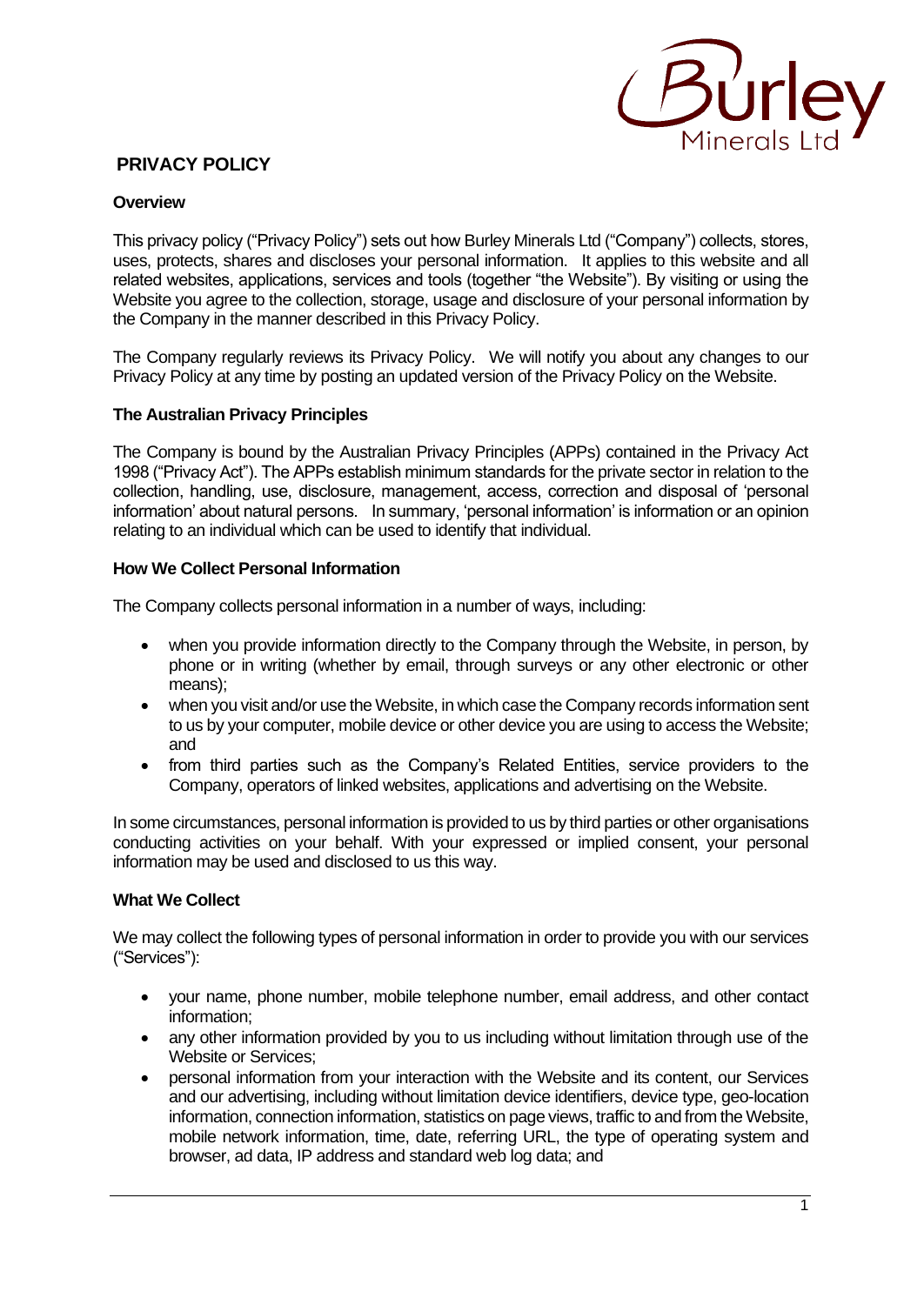

# **PRIVACY POLICY**

## **Overview**

This privacy policy ("Privacy Policy") sets out how Burley Minerals Ltd ("Company") collects, stores, uses, protects, shares and discloses your personal information. It applies to this website and all related websites, applications, services and tools (together "the Website"). By visiting or using the Website you agree to the collection, storage, usage and disclosure of your personal information by the Company in the manner described in this Privacy Policy.

The Company regularly reviews its Privacy Policy. We will notify you about any changes to our Privacy Policy at any time by posting an updated version of the Privacy Policy on the Website.

### **The Australian Privacy Principles**

The Company is bound by the Australian Privacy Principles (APPs) contained in the Privacy Act 1998 ("Privacy Act"). The APPs establish minimum standards for the private sector in relation to the collection, handling, use, disclosure, management, access, correction and disposal of 'personal information' about natural persons. In summary, 'personal information' is information or an opinion relating to an individual which can be used to identify that individual.

### **How We Collect Personal Information**

The Company collects personal information in a number of ways, including:

- when you provide information directly to the Company through the Website, in person, by phone or in writing (whether by email, through surveys or any other electronic or other means);
- when you visit and/or use the Website, in which case the Company records information sent to us by your computer, mobile device or other device you are using to access the Website; and
- from third parties such as the Company's Related Entities, service providers to the Company, operators of linked websites, applications and advertising on the Website.

In some circumstances, personal information is provided to us by third parties or other organisations conducting activities on your behalf. With your expressed or implied consent, your personal information may be used and disclosed to us this way.

#### **What We Collect**

We may collect the following types of personal information in order to provide you with our services ("Services"):

- your name, phone number, mobile telephone number, email address, and other contact information;
- any other information provided by you to us including without limitation through use of the Website or Services;
- personal information from your interaction with the Website and its content, our Services and our advertising, including without limitation device identifiers, device type, geo-location information, connection information, statistics on page views, traffic to and from the Website, mobile network information, time, date, referring URL, the type of operating system and browser, ad data, IP address and standard web log data; and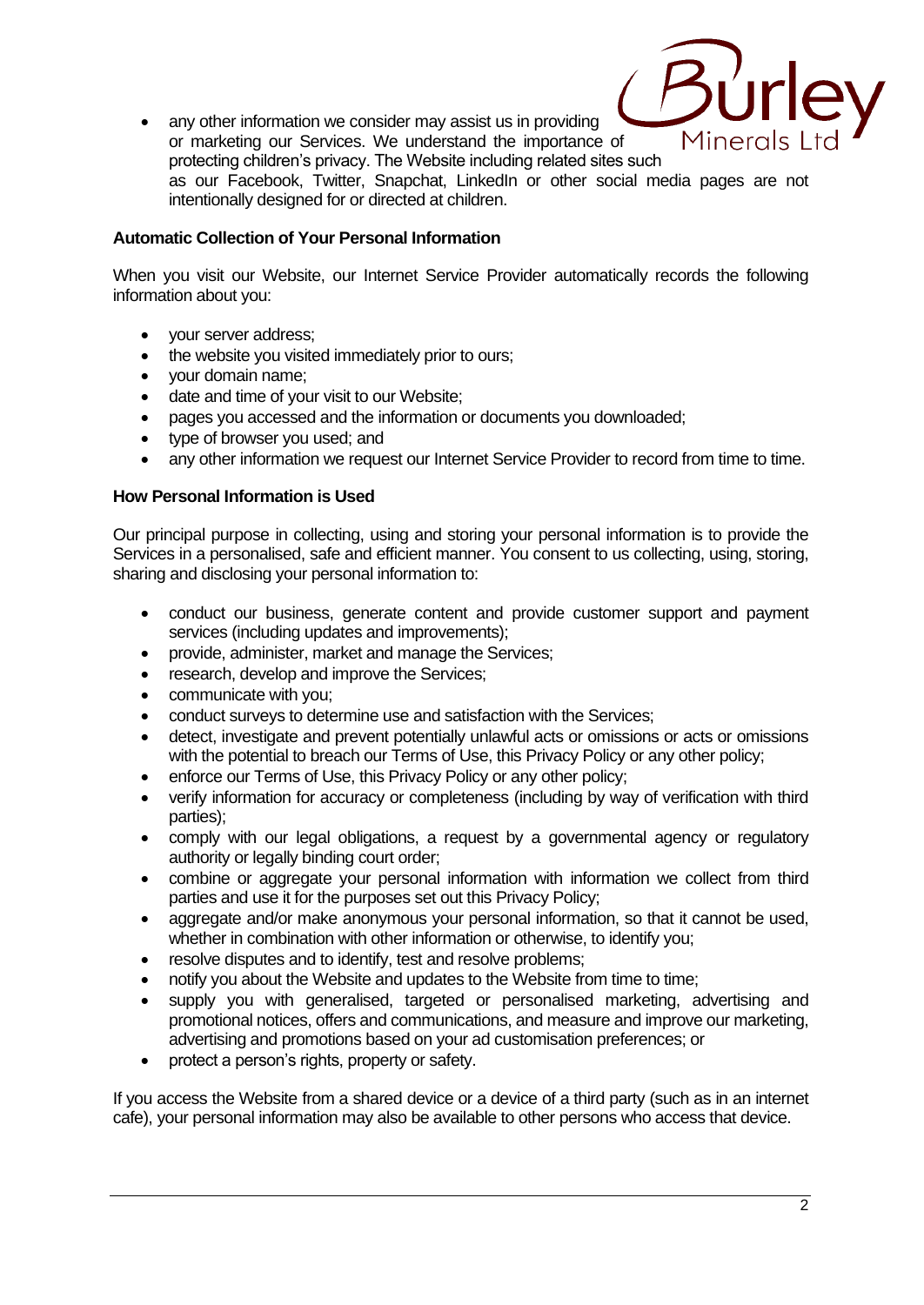

• any other information we consider may assist us in providing or marketing our Services. We understand the importance of protecting children's privacy. The Website including related sites such as our Facebook, Twitter, Snapchat, LinkedIn or other social media pages are not intentionally designed for or directed at children.

# **Automatic Collection of Your Personal Information**

When you visit our Website, our Internet Service Provider automatically records the following information about you:

- vour server address:
- the website you visited immediately prior to ours;
- your domain name;
- date and time of your visit to our Website;
- pages you accessed and the information or documents you downloaded;
- type of browser you used; and
- any other information we request our Internet Service Provider to record from time to time.

# **How Personal Information is Used**

Our principal purpose in collecting, using and storing your personal information is to provide the Services in a personalised, safe and efficient manner. You consent to us collecting, using, storing, sharing and disclosing your personal information to:

- conduct our business, generate content and provide customer support and payment services (including updates and improvements);
- provide, administer, market and manage the Services;
- research, develop and improve the Services:
- communicate with you;
- conduct surveys to determine use and satisfaction with the Services;
- detect, investigate and prevent potentially unlawful acts or omissions or acts or omissions with the potential to breach our Terms of Use, this Privacy Policy or any other policy;
- enforce our Terms of Use, this Privacy Policy or any other policy;
- verify information for accuracy or completeness (including by way of verification with third parties);
- comply with our legal obligations, a request by a governmental agency or regulatory authority or legally binding court order;
- combine or aggregate your personal information with information we collect from third parties and use it for the purposes set out this Privacy Policy;
- aggregate and/or make anonymous your personal information, so that it cannot be used, whether in combination with other information or otherwise, to identify you;
- resolve disputes and to identify, test and resolve problems;
- notify you about the Website and updates to the Website from time to time;
- supply you with generalised, targeted or personalised marketing, advertising and promotional notices, offers and communications, and measure and improve our marketing, advertising and promotions based on your ad customisation preferences; or
- protect a person's rights, property or safety.

If you access the Website from a shared device or a device of a third party (such as in an internet cafe), your personal information may also be available to other persons who access that device.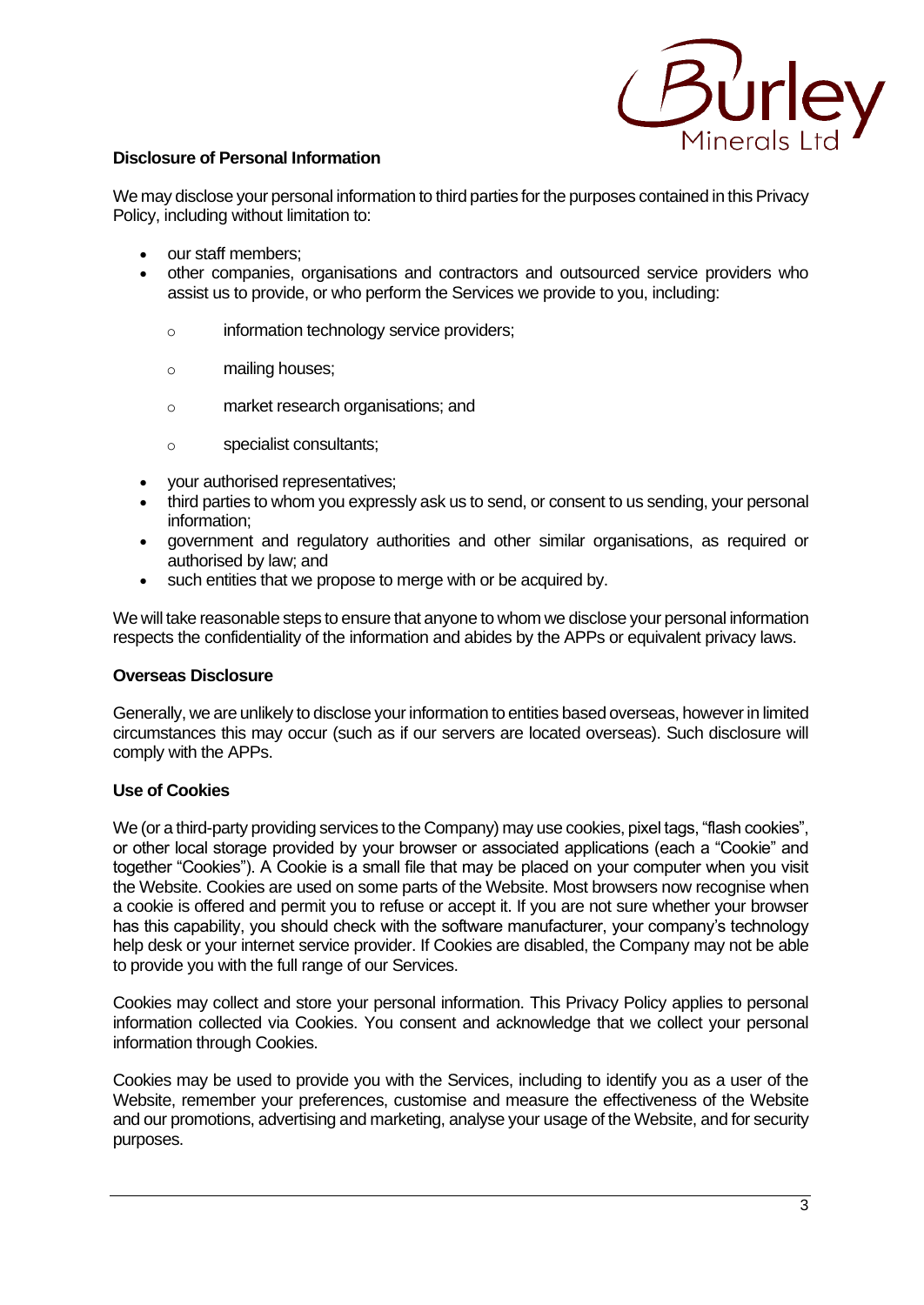

## **Disclosure of Personal Information**

We may disclose your personal information to third parties for the purposes contained in this Privacy Policy, including without limitation to:

- our staff members;
- other companies, organisations and contractors and outsourced service providers who assist us to provide, or who perform the Services we provide to you, including:
	- o information technology service providers;
	- o mailing houses;
	- o market research organisations; and
	- o specialist consultants;
- your authorised representatives;
- third parties to whom you expressly ask us to send, or consent to us sending, your personal information;
- government and regulatory authorities and other similar organisations, as required or authorised by law; and
- such entities that we propose to merge with or be acquired by.

We will take reasonable steps to ensure that anyone to whom we disclose your personal information respects the confidentiality of the information and abides by the APPs or equivalent privacy laws.

#### **Overseas Disclosure**

Generally, we are unlikely to disclose your information to entities based overseas, however in limited circumstances this may occur (such as if our servers are located overseas). Such disclosure will comply with the APPs.

#### **Use of Cookies**

We (or a third-party providing services to the Company) may use cookies, pixel tags, "flash cookies", or other local storage provided by your browser or associated applications (each a "Cookie" and together "Cookies"). A Cookie is a small file that may be placed on your computer when you visit the Website. Cookies are used on some parts of the Website. Most browsers now recognise when a cookie is offered and permit you to refuse or accept it. If you are not sure whether your browser has this capability, you should check with the software manufacturer, your company's technology help desk or your internet service provider. If Cookies are disabled, the Company may not be able to provide you with the full range of our Services.

Cookies may collect and store your personal information. This Privacy Policy applies to personal information collected via Cookies. You consent and acknowledge that we collect your personal information through Cookies.

Cookies may be used to provide you with the Services, including to identify you as a user of the Website, remember your preferences, customise and measure the effectiveness of the Website and our promotions, advertising and marketing, analyse your usage of the Website, and for security purposes.